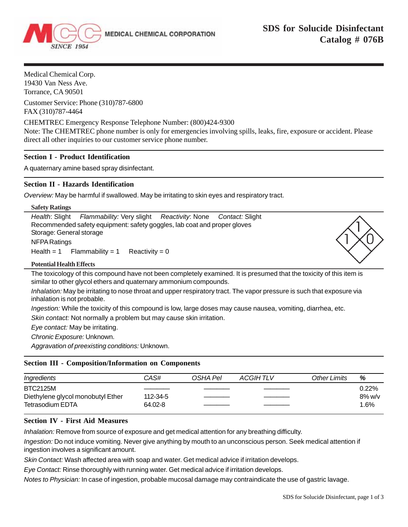

Medical Chemical Corp. 19430 Van Ness Ave. Torrance, CA 90501

Customer Service: Phone (310)787-6800 FAX (310)787-4464

CHEMTREC Emergency Response Telephone Number: (800)424-9300

Note: The CHEMTREC phone number is only for emergencies involving spills, leaks, fire, exposure or accident. Please direct all other inquiries to our customer service phone number.

## **Section I - Product Identification**

A quaternary amine based spray disinfectant.

## **Section II - Hazards Identification**

*Overview:* May be harmful if swallowed. May be irritating to skin eyes and respiratory tract.

| <b>Safety Ratings</b>                                                           |  |
|---------------------------------------------------------------------------------|--|
| Health: Slight<br>Flammability: Very slight Reactivity: None<br>Contact: Slight |  |
| Recommended safety equipment: safety goggles, lab coat and proper gloves        |  |
| Storage: General storage                                                        |  |
| NFPA Ratings                                                                    |  |
| $Flammability = 1$<br>Health $= 1$<br>Reactivity = $0$                          |  |
| <b>Potential Health Effects</b>                                                 |  |

The toxicology of this compound have not been completely examined. It is presumed that the toxicity of this item is similar to other glycol ethers and quaternary ammonium compounds.

*Inhalation:* May be irritating to nose throat and upper respiratory tract. The vapor pressure is such that exposure via inhalation is not probable.

*Ingestion:* While the toxicity of this compound is low, large doses may cause nausea, vomiting, diarrhea, etc.

*Skin contact:* Not normally a problem but may cause skin irritation.

*Eye contact:* May be irritating.

*Chronic Exposure:* Unknown.

*Aggravation of preexisting conditions:* Unknown.

## **Section III - Composition/Information on Components**

| Ingredients                       | CAS#     | OSHA Pel | ACGIH TLV | Other Limits | %         |
|-----------------------------------|----------|----------|-----------|--------------|-----------|
| <b>BTC2125M</b>                   |          |          |           |              | 0.22%     |
| Diethylene glycol monobutyl Ether | 112-34-5 |          |           |              | $8\%$ w/v |
| <b>Tetrasodium EDTA</b>           | 64.02-8  |          |           |              | $1.6\%$   |

# **Section IV - First Aid Measures**

*Inhalation:* Remove from source of exposure and get medical attention for any breathing difficulty.

*Ingestion:* Do not induce vomiting. Never give anything by mouth to an unconscious person. Seek medical attention if ingestion involves a significant amount.

*Skin Contact:* Wash affected area with soap and water. Get medical advice if irritation develops.

*Eye Contact:* Rinse thoroughly with running water. Get medical advice if irritation develops.

*Notes to Physician:* In case of ingestion, probable mucosal damage may contraindicate the use of gastric lavage.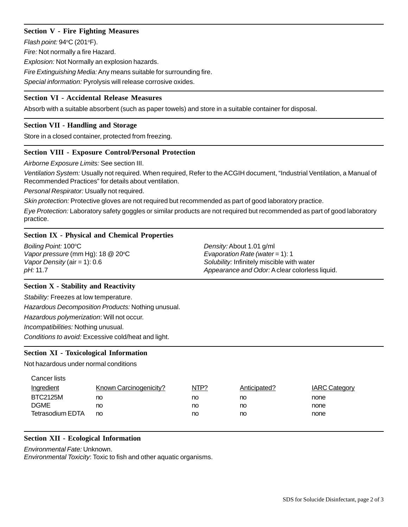# **Section V - Fire Fighting Measures**

*Flash point:* 94°C (201°F).

*Fire:* Not normally a fire Hazard.

*Explosion:* Not Normally an explosion hazards.

*Fire Extinguishing Media:* Any means suitable for surrounding fire.

*Special information:* Pyrolysis will release corrosive oxides.

## **Section VI - Accidental Release Measures**

Absorb with a suitable absorbent (such as paper towels) and store in a suitable container for disposal.

## **Section VII - Handling and Storage**

Store in a closed container, protected from freezing.

## **Section VIII - Exposure Control/Personal Protection**

*Airborne Exposure Limits:* See section III.

*Ventilation System:* Usually not required. When required, Refer to the ACGIH document, "Industrial Ventilation, a Manual of Recommended Practices" for details about ventilation.

*Personal Respirator:* Usually not required.

*Skin protection:* Protective gloves are not required but recommended as part of good laboratory practice.

*Eye Protection:* Laboratory safety goggles or similar products are not required but recommended as part of good laboratory practice.

## **Section IX - Physical and Chemical Properties**

| Boiling Point: 100°C              | Density: About 1.01 g/ml                       |  |  |  |
|-----------------------------------|------------------------------------------------|--|--|--|
| Vapor pressure (mm Hg): 18 @ 20°C | Evaporation Rate (water = 1): 1                |  |  |  |
| Vapor Density (air = 1): $0.6$    | Solubility: Infinitely miscible with water     |  |  |  |
| pH: 11.7                          | Appearance and Odor: A clear colorless liquid. |  |  |  |

## **Section X - Stability and Reactivity**

*Stability:* Freezes at low temperature.

*Hazardous Decomposition Products:* Nothing unusual.

*Hazardous polymerization*: Will not occur.

*Incompatibilities:* Nothing unusual.

*Conditions to avoid:* Excessive cold/heat and light.

#### **Section XI - Toxicological Information**

Not hazardous under normal conditions

| Cancer lists            |                        |      |              |                      |
|-------------------------|------------------------|------|--------------|----------------------|
| <b>Ingredient</b>       | Known Carcinogenicity? | NTP? | Anticipated? | <b>IARC Category</b> |
| <b>BTC2125M</b>         | no                     | no   | no           | none                 |
| <b>DGME</b>             | no                     | no   | no           | none                 |
| <b>Tetrasodium EDTA</b> | no                     | no   | no           | none                 |

#### **Section XII - Ecological Information**

# *Environmental Fate:* Unknown.

*Environmental Toxicity*: Toxic to fish and other aquatic organisms.